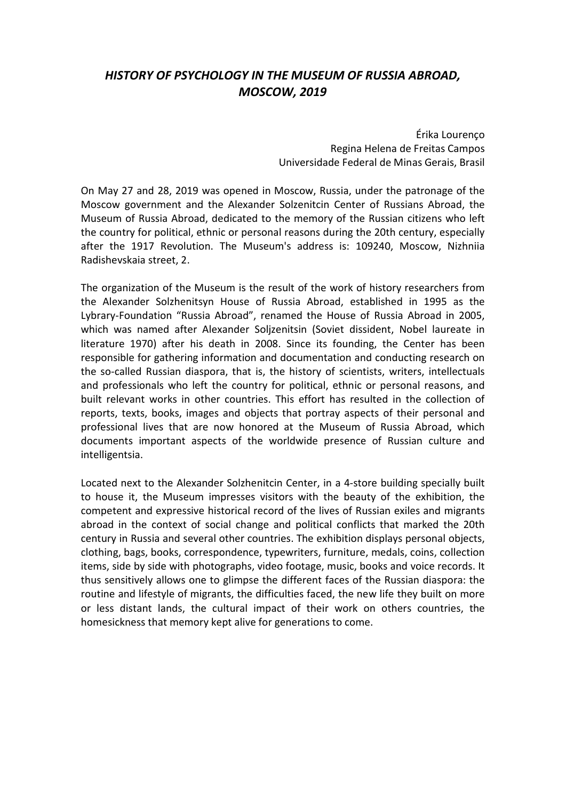## HISTORY OF PSYCHOLOGY IN THE MUSEUM OF RUSSIA ABROAD, MOSCOW, 2019

Érika Lourenço Regina Helena de Freitas Campos Universidade Federal de Minas Gerais, Brasil

On May 27 and 28, 2019 was opened in Moscow, Russia, under the patronage of the Moscow government and the Alexander Solzenitcin Center of Russians Abroad, the Museum of Russia Abroad, dedicated to the memory of the Russian citizens who left the country for political, ethnic or personal reasons during the 20th century, especially after the 1917 Revolution. The Museum's address is: 109240, Moscow, Nizhniia Radishevskaia street, 2.

The organization of the Museum is the result of the work of history researchers from the Alexander Solzhenitsyn House of Russia Abroad, established in 1995 as the Lybrary-Foundation "Russia Abroad", renamed the House of Russia Abroad in 2005, which was named after Alexander Soljzenitsin (Soviet dissident, Nobel laureate in literature 1970) after his death in 2008. Since its founding, the Center has been responsible for gathering information and documentation and conducting research on the so-called Russian diaspora, that is, the history of scientists, writers, intellectuals and professionals who left the country for political, ethnic or personal reasons, and built relevant works in other countries. This effort has resulted in the collection of reports, texts, books, images and objects that portray aspects of their personal and professional lives that are now honored at the Museum of Russia Abroad, which documents important aspects of the worldwide presence of Russian culture and intelligentsia.

Located next to the Alexander Solzhenitcin Center, in a 4-store building specially built to house it, the Museum impresses visitors with the beauty of the exhibition, the competent and expressive historical record of the lives of Russian exiles and migrants abroad in the context of social change and political conflicts that marked the 20th century in Russia and several other countries. The exhibition displays personal objects, clothing, bags, books, correspondence, typewriters, furniture, medals, coins, collection items, side by side with photographs, video footage, music, books and voice records. It thus sensitively allows one to glimpse the different faces of the Russian diaspora: the routine and lifestyle of migrants, the difficulties faced, the new life they built on more or less distant lands, the cultural impact of their work on others countries, the homesickness that memory kept alive for generations to come.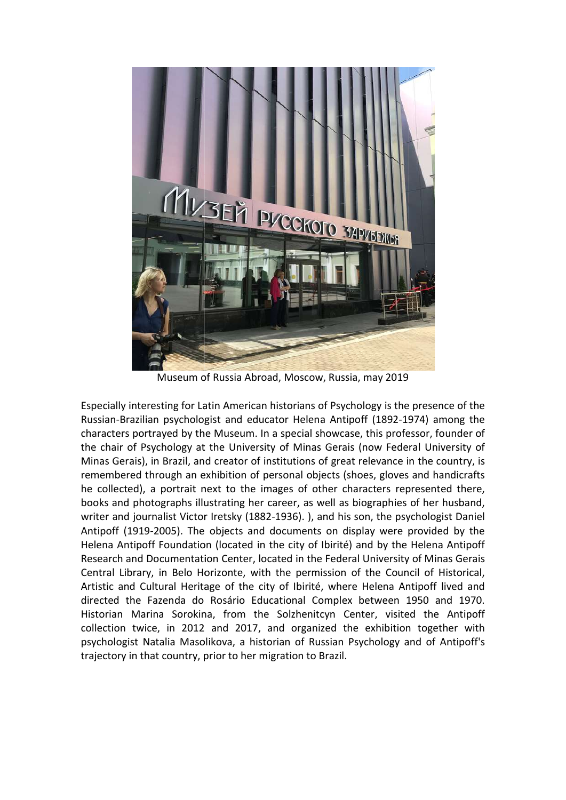

Museum of Russia Abroad, Mosco Moscow, Russia, may 2019

Especially interesting for Latin American historians of Psychology is the presence of the Especially interesting for Latin American historians of Psychology is the presence of the<br>Russian-Brazilian psychologist and educator Helena Antipoff (1892-1974) among the characters portrayed by the Museum. In a special showcase, this professor, founder of<br>the chair of Psychology at the University of Minas Gerais (now Federal University of<br>Minas Gerais), in Brazil, and creator of institutio the chair of Psychology at the University of Minas Gerais (now Federal University of Minas Gerais), in Brazil, and creator of institutions of great relevance in the country, is remembered through an exhibition of personal objects (shoes, gloves and handicrafts he collected), a portrait next to the images of other characters represented there, remembered through an exhibition of personal objects (shoes, gloves and handicrafts<br>he collected), a portrait next to the images of other characters represented there,<br>books and photographs illustrating her career, as well writer and journalist Victor Iretsky (1882-1936).), and his son, the psychologist Daniel Antipoff (1919-2005). The objects and documents on display were provided by the Antipoff (1919-2005). The objects and documents on display were provided by the<br>Helena Antipoff Foundation (located in the city of Ibirité) and by the Helena Antipoff Research and Documentation Center, located in the Federal University of Minas Gerais Research and Documentation Center, located in the Federal University of Minas Gerais<br>Central Library, in Belo Horizonte, with the permission of the Council of Historical, Artistic and Cultural Heritage of the city of Ibirité, where Helena Antipoff lived and directed the Fazenda do Rosário Educational Complex between 1950 and 1970. directed the Fazenda do Rosário Educational Complex between 1950 and 1970.<br>Historian Marina Sorokina, from the Solzhenitcyn Center, visited the Antipoff collection twice, in 2012 and 2017, and organized the exhibition together with psychologist Natalia Masolikova, a historian of Russian Psychology and trajectory in that country, prior to her migration to Brazil. ator Helena Antipoff (1892-1974) among the<br>a special showcase, this professor, founder of<br>y of Minas Gerais (now Federal University of<br>stitutions of great relevance in the country, is<br>ersonal objects (shoes, gloves and han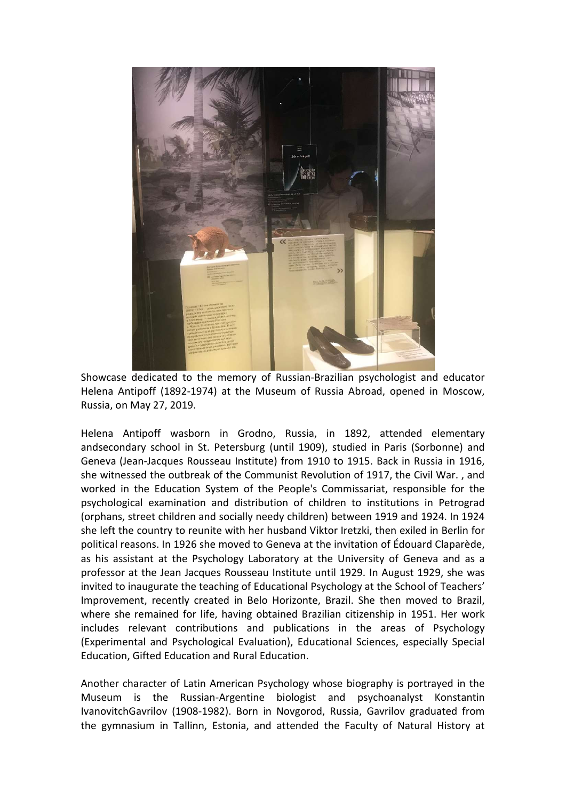

Showcase dedicated to the memory of Russian-Brazilian psychologist and educator Helena Antipoff (1892-1974) at the Museum of Russia Abroad, opened in Moscow, Russia, on May 27, 2019.

Helena Antipoff wasborn in Grodno, Russia, in 1892, attended elementary andsecondary school in St. Petersburg (until 1909), studied in Paris (Sorbonne) and Geneva (Jean-Jacques Rousseau Institute) from 1910 to 1915. Back in Russia in 1916, she witnessed the outbreak of the Communist Revolution of 1917, the Civil War. , and worked in the Education System of the People's Commissariat, responsible for the psychological examination and distribution of children to institutions in Petrograd (orphans, street children and socially needy children) between 1919 and 1924. In 1924 she left the country to reunite with her husband Viktor Iretzki, then exiled in Berlin for political reasons. In 1926 she moved to Geneva at the invitation of Édouard Claparède, as his assistant at the Psychology Laboratory at the University of Geneva and as a professor at the Jean Jacques Rousseau Institute until 1929. In August 1929, she was invited to inaugurate the teaching of Educational Psychology at the School of Teachers' Improvement, recently created in Belo Horizonte, Brazil. She then moved to Brazil, where she remained for life, having obtained Brazilian citizenship in 1951. Her work includes relevant contributions and publications in the areas of Psychology (Experimental and Psychological Evaluation), Educational Sciences, especially Special Education, Gifted Education and Rural Education.

Another character of Latin American Psychology whose biography is portrayed in the Museum is the Russian-Argentine biologist and psychoanalyst Konstantin IvanovitchGavrilov (1908-1982). Born in Novgorod, Russia, Gavrilov graduated from the gymnasium in Tallinn, Estonia, and attended the Faculty of Natural History at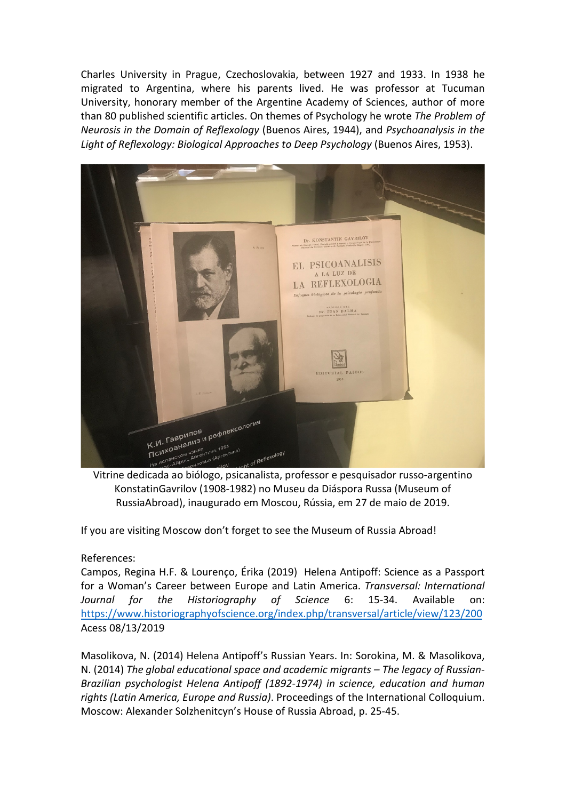Charles University in Prague, Czechoslovakia, between 1927 and 1933. In 1938 he migrated to Argentina, where his parents lived. He was professor at Tucuman University, honorary member of the Argentine Academy of Sciences, author of more than 80 published scientific articles. On themes of Psychology he wrote The Problem of Neurosis in the Domain of Reflexology (Buenos Aires, 1944), and Psychoanalysis in the Light of Reflexology: Biological Approaches to Deep Psychology (Buenos Aires, 1953).



Vitrine dedicada ao biólogo, psicanalista, professor e pesquisador russo-argentino KonstatinGavrilov (1908-1982) no Museu da Diáspora Russa (Museum of RussiaAbroad), inaugurado em Moscou, Rússia, em 27 de maio de 2019.

If you are visiting Moscow don't forget to see the Museum of Russia Abroad!

References:

Campos, Regina H.F. & Lourenço, Érika (2019) Helena Antipoff: Science as a Passport for a Woman's Career between Europe and Latin America. Transversal: International Journal for the Historiography of Science 6: 15-34. Available on: https://www.historiographyofscience.org/index.php/transversal/article/view/123/200 Acess 08/13/2019

Masolikova, N. (2014) Helena Antipoff's Russian Years. In: Sorokina, M. & Masolikova, N. (2014) The global educational space and academic migrants – The legacy of Russian-Brazilian psychologist Helena Antipoff (1892-1974) in science, education and human rights (Latin America, Europe and Russia). Proceedings of the International Colloquium. Moscow: Alexander Solzhenitcyn's House of Russia Abroad, p. 25-45.